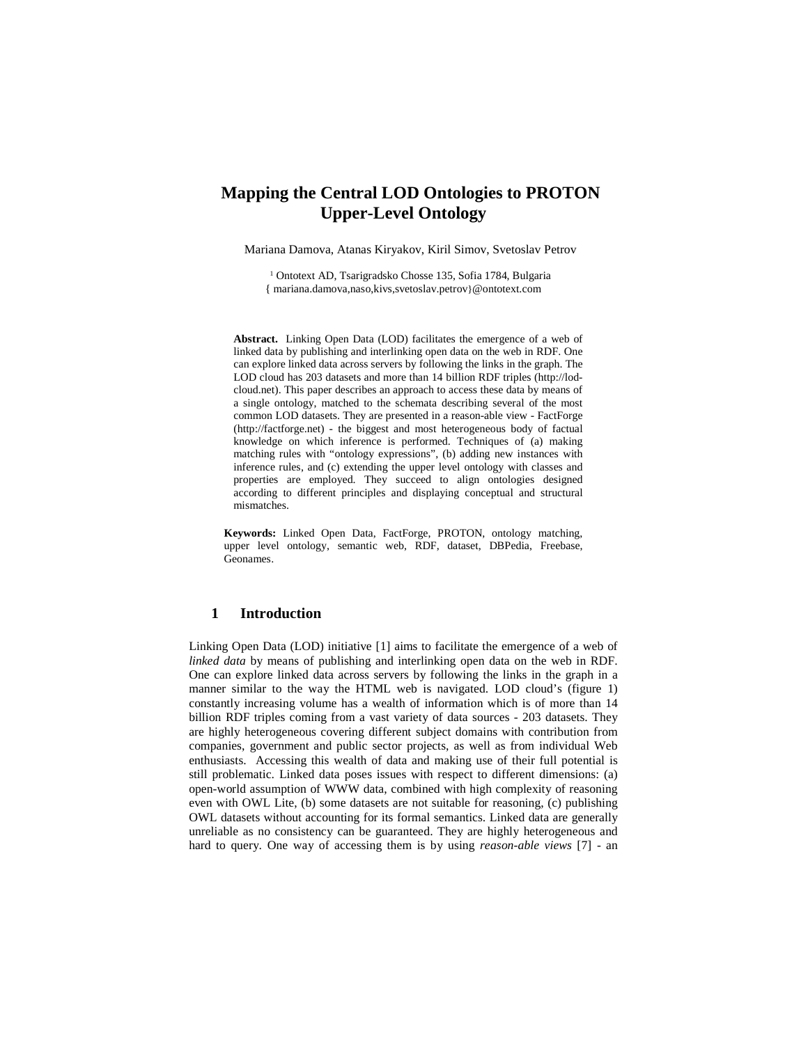# **Mapping the Central LOD Ontologies to PROTON Upper-Level Ontology**

Mariana Damova, Atanas Kiryakov, Kiril Simov, Svetoslav Petrov

<sup>1</sup> Ontotext AD, Tsarigradsko Chosse 135, Sofia 1784, Bulgaria { mariana.damova,naso,kivs,svetoslav.petrov}@ontotext.com

**Abstract.** Linking Open Data (LOD) facilitates the emergence of a web of linked data by publishing and interlinking open data on the web in RDF. One can explore linked data across servers by following the links in the graph. The LOD cloud has 203 datasets and more than 14 billion RDF triples (http://lodcloud.net). This paper describes an approach to access these data by means of a single ontology, matched to the schemata describing several of the most common LOD datasets. They are presented in a reason-able view - FactForge (http://factforge.net) - the biggest and most heterogeneous body of factual knowledge on which inference is performed. Techniques of (a) making matching rules with "ontology expressions", (b) adding new instances with inference rules, and (c) extending the upper level ontology with classes and properties are employed. They succeed to align ontologies designed according to different principles and displaying conceptual and structural mismatches.

**Keywords:** Linked Open Data, FactForge, PROTON, ontology matching, upper level ontology, semantic web, RDF, dataset, DBPedia, Freebase, Geonames.

### **1 Introduction**

Linking Open Data (LOD) initiative [1] aims to facilitate the emergence of a web of *linked data* by means of publishing and interlinking open data on the web in RDF. One can explore linked data across servers by following the links in the graph in a manner similar to the way the HTML web is navigated. LOD cloud's (figure 1) constantly increasing volume has a wealth of information which is of more than 14 billion RDF triples coming from a vast variety of data sources - 203 datasets. They are highly heterogeneous covering different subject domains with contribution from companies, government and public sector projects, as well as from individual Web enthusiasts. Accessing this wealth of data and making use of their full potential is still problematic. Linked data poses issues with respect to different dimensions: (a) open-world assumption of WWW data, combined with high complexity of reasoning even with OWL Lite, (b) some datasets are not suitable for reasoning, (c) publishing OWL datasets without accounting for its formal semantics. Linked data are generally unreliable as no consistency can be guaranteed. They are highly heterogeneous and hard to query. One way of accessing them is by using *reason-able views* [7] - an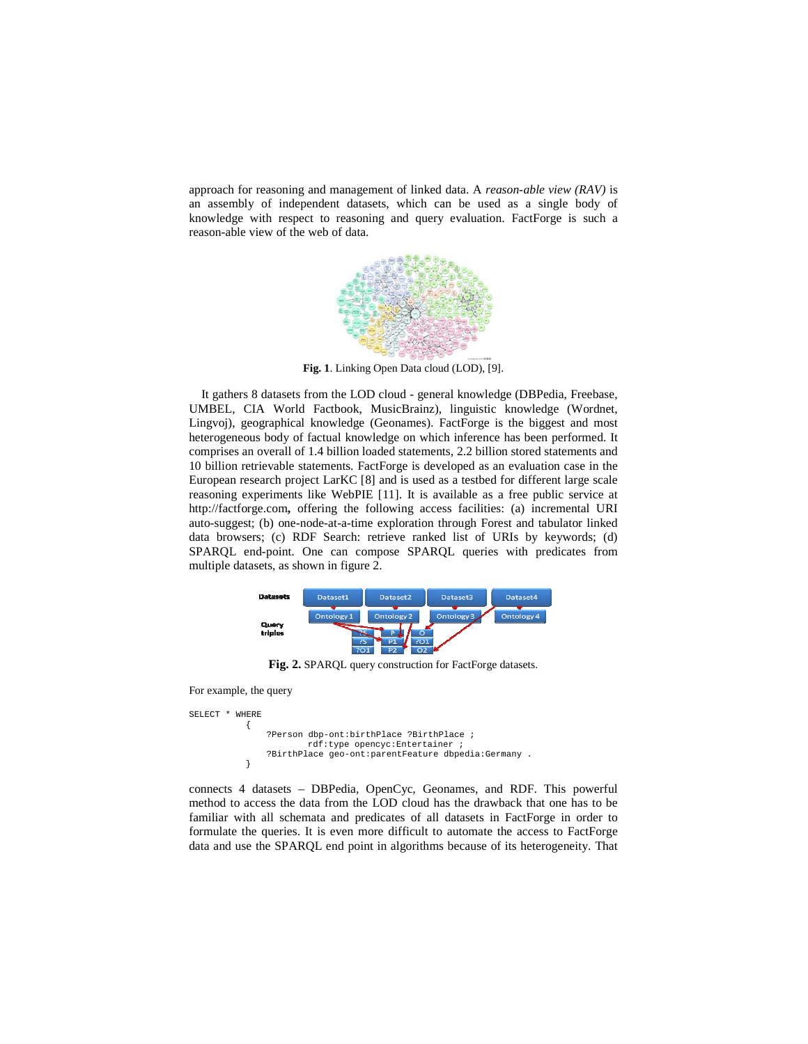approach for reasoning and management of linked data. A *reason-able view (RAV)* is an assembly of independent datasets, which can be used as a single body of knowledge with respect to reasoning and query evaluation. FactForge is such a reason-able view of the web of data.



**Fig. 1**. Linking Open Data cloud (LOD), [9].

 It gathers 8 datasets from the LOD cloud - general knowledge (DBPedia, Freebase, UMBEL, CIA World Factbook, MusicBrainz), linguistic knowledge (Wordnet, Lingvoj), geographical knowledge (Geonames). FactForge is the biggest and most heterogeneous body of factual knowledge on which inference has been performed. It comprises an overall of 1.4 billion loaded statements, 2.2 billion stored statements and 10 billion retrievable statements. FactForge is developed as an evaluation case in the European research project LarKC [8] and is used as a testbed for different large scale reasoning experiments like WebPIE [11]. It is available as a free public service at http://factforge.com**,** offering the following access facilities: (a) incremental URI auto-suggest; (b) one-node-at-a-time exploration through Forest and tabulator linked data browsers; (c) RDF Search: retrieve ranked list of URIs by keywords; (d) SPARQL end-point. One can compose SPARQL queries with predicates from multiple datasets, as shown in figure 2.



Fig. 2. SPAROL query construction for FactForge datasets.

For example, the query

```
SELECT * WHERE 
\left\{ \begin{array}{ccc} 1 & 1 & 1 \\ 1 & 1 & 1 \end{array} \right\} ?Person dbp-ont:birthPlace ?BirthPlace ; 
                                rdf:type opencyc:Entertainer ; 
                     ?BirthPlace geo-ont:parentFeature dbpedia:Germany . 
 }
```
connects 4 datasets – DBPedia, OpenCyc, Geonames, and RDF. This powerful method to access the data from the LOD cloud has the drawback that one has to be familiar with all schemata and predicates of all datasets in FactForge in order to formulate the queries. It is even more difficult to automate the access to FactForge data and use the SPARQL end point in algorithms because of its heterogeneity. That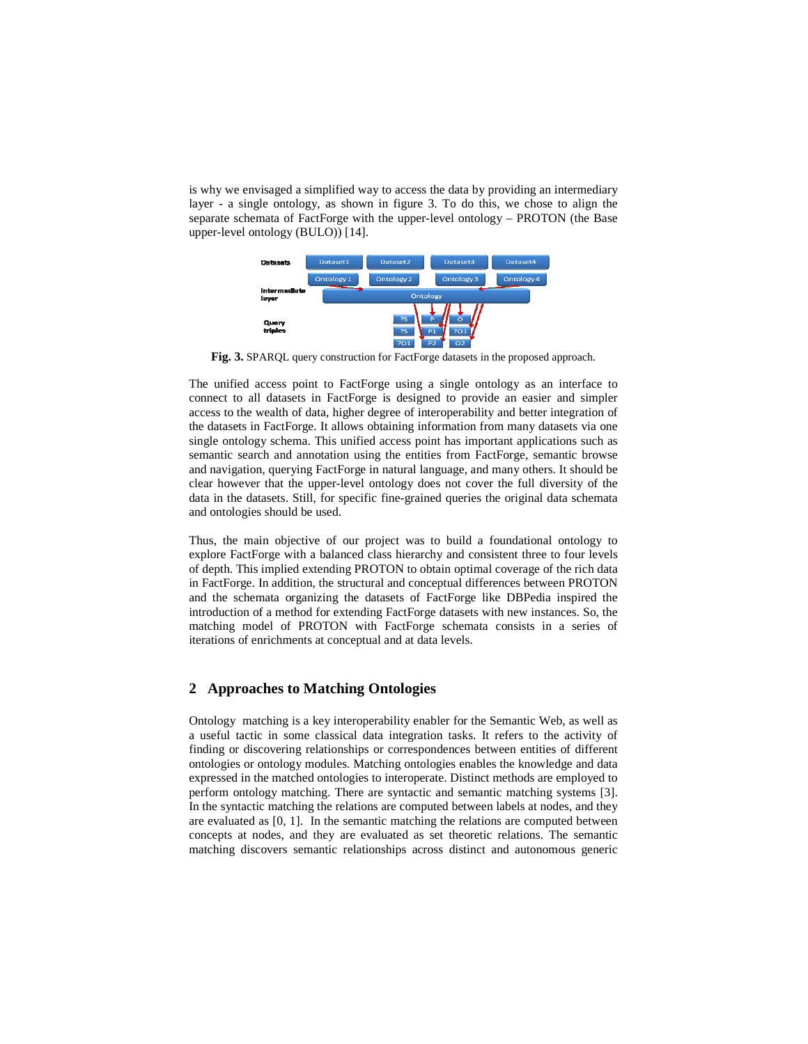is why we envisaged a simplified way to access the data by providing an intermediary layer - a single ontology, as shown in figure 3. To do this, we chose to align the separate schemata of FactForge with the upper-level ontology – PROTON (the Base upper-level ontology (BULO)) [14].



**Fig. 3.** SPARQL query construction for FactForge datasets in the proposed approach.

The unified access point to FactForge using a single ontology as an interface to connect to all datasets in FactForge is designed to provide an easier and simpler access to the wealth of data, higher degree of interoperability and better integration of the datasets in FactForge. It allows obtaining information from many datasets via one single ontology schema. This unified access point has important applications such as semantic search and annotation using the entities from FactForge, semantic browse and navigation, querying FactForge in natural language, and many others. It should be clear however that the upper-level ontology does not cover the full diversity of the data in the datasets. Still, for specific fine-grained queries the original data schemata and ontologies should be used.

Thus, the main objective of our project was to build a foundational ontology to explore FactForge with a balanced class hierarchy and consistent three to four levels of depth. This implied extending PROTON to obtain optimal coverage of the rich data in FactForge. In addition, the structural and conceptual differences between PROTON and the schemata organizing the datasets of FactForge like DBPedia inspired the introduction of a method for extending FactForge datasets with new instances. So, the matching model of PROTON with FactForge schemata consists in a series of iterations of enrichments at conceptual and at data levels.

# **2 Approaches to Matching Ontologies**

Ontology matching is a key interoperability enabler for the Semantic Web, as well as a useful tactic in some classical data integration tasks. It refers to the activity of finding or discovering relationships or correspondences between entities of different ontologies or ontology modules. Matching ontologies enables the knowledge and data expressed in the matched ontologies to interoperate. Distinct methods are employed to perform ontology matching. There are syntactic and semantic matching systems [3]. In the syntactic matching the relations are computed between labels at nodes, and they are evaluated as [0, 1]. In the semantic matching the relations are computed between concepts at nodes, and they are evaluated as set theoretic relations. The semantic matching discovers semantic relationships across distinct and autonomous generic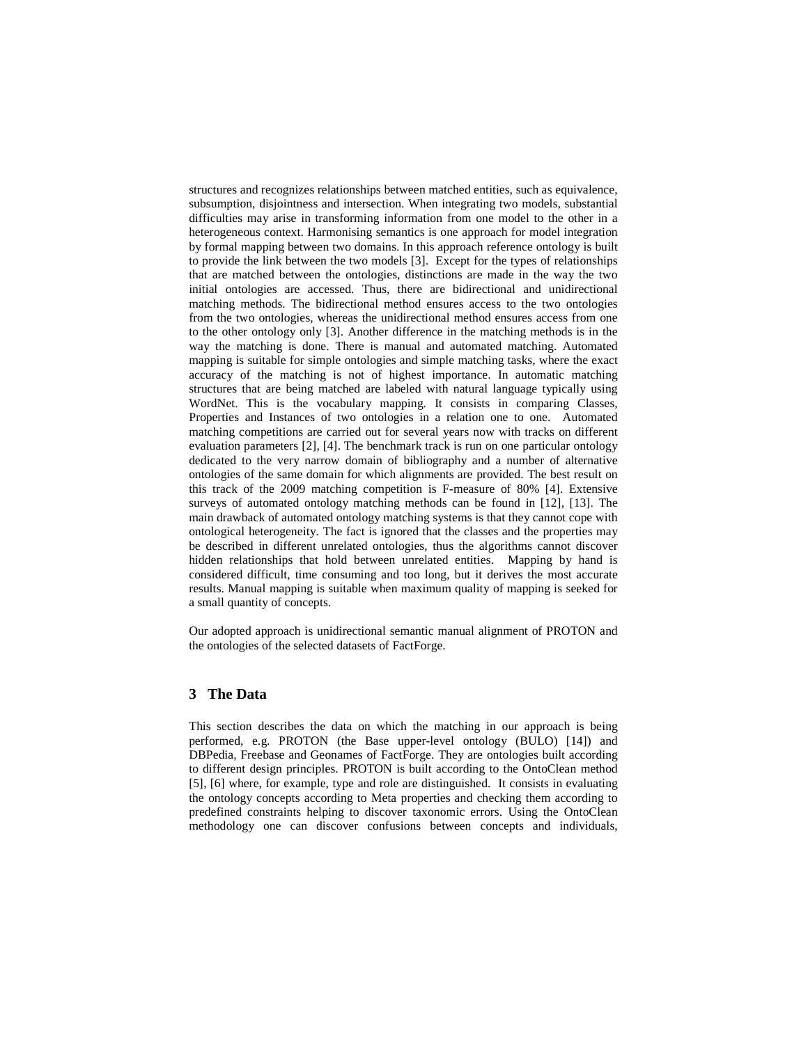structures and recognizes relationships between matched entities, such as equivalence, subsumption, disjointness and intersection. When integrating two models, substantial difficulties may arise in transforming information from one model to the other in a heterogeneous context. Harmonising semantics is one approach for model integration by formal mapping between two domains. In this approach reference ontology is built to provide the link between the two models [3]. Except for the types of relationships that are matched between the ontologies, distinctions are made in the way the two initial ontologies are accessed. Thus, there are bidirectional and unidirectional matching methods. The bidirectional method ensures access to the two ontologies from the two ontologies, whereas the unidirectional method ensures access from one to the other ontology only [3]. Another difference in the matching methods is in the way the matching is done. There is manual and automated matching. Automated mapping is suitable for simple ontologies and simple matching tasks, where the exact accuracy of the matching is not of highest importance. In automatic matching structures that are being matched are labeled with natural language typically using WordNet. This is the vocabulary mapping. It consists in comparing Classes, Properties and Instances of two ontologies in a relation one to one. Automated matching competitions are carried out for several years now with tracks on different evaluation parameters [2], [4]. The benchmark track is run on one particular ontology dedicated to the very narrow domain of bibliography and a number of alternative ontologies of the same domain for which alignments are provided. The best result on this track of the 2009 matching competition is F-measure of 80% [4]. Extensive surveys of automated ontology matching methods can be found in [12], [13]. The main drawback of automated ontology matching systems is that they cannot cope with ontological heterogeneity. The fact is ignored that the classes and the properties may be described in different unrelated ontologies, thus the algorithms cannot discover hidden relationships that hold between unrelated entities. Mapping by hand is considered difficult, time consuming and too long, but it derives the most accurate results. Manual mapping is suitable when maximum quality of mapping is seeked for a small quantity of concepts.

Our adopted approach is unidirectional semantic manual alignment of PROTON and the ontologies of the selected datasets of FactForge.

### **3 The Data**

This section describes the data on which the matching in our approach is being performed, e.g. PROTON (the Base upper-level ontology (BULO) [14]) and DBPedia, Freebase and Geonames of FactForge. They are ontologies built according to different design principles. PROTON is built according to the OntoClean method [5], [6] where, for example, type and role are distinguished. It consists in evaluating the ontology concepts according to Meta properties and checking them according to predefined constraints helping to discover taxonomic errors. Using the OntoClean methodology one can discover confusions between concepts and individuals,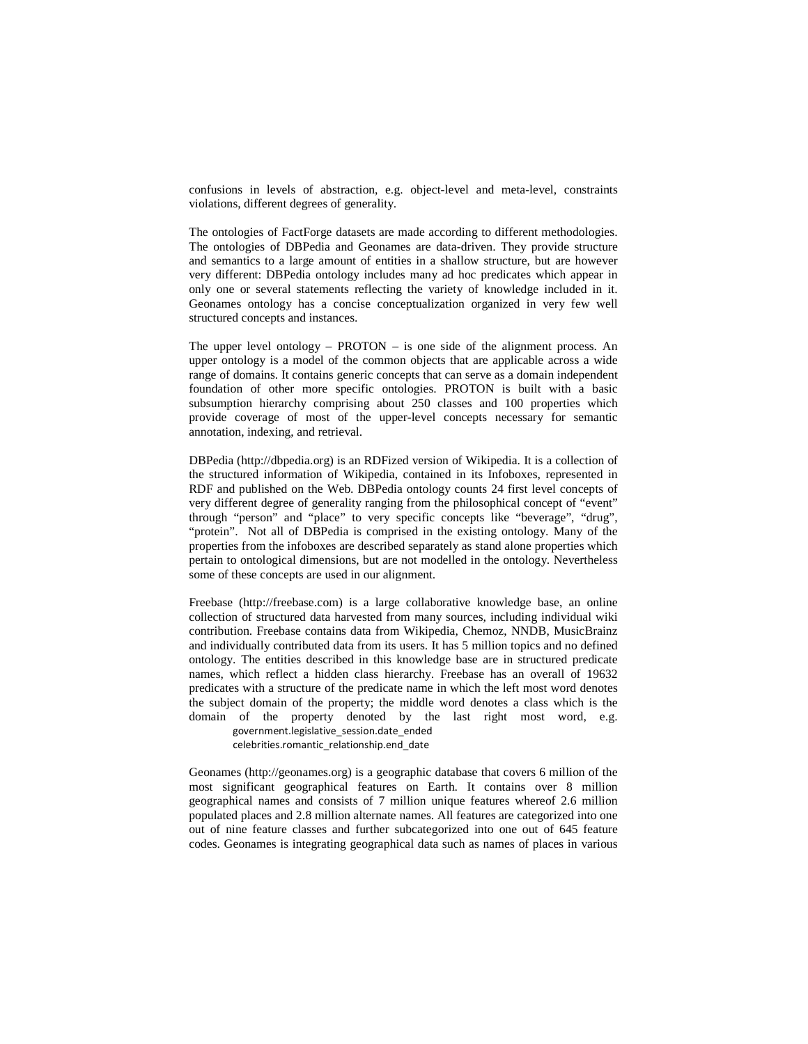confusions in levels of abstraction, e.g. object-level and meta-level, constraints violations, different degrees of generality.

The ontologies of FactForge datasets are made according to different methodologies. The ontologies of DBPedia and Geonames are data-driven. They provide structure and semantics to a large amount of entities in a shallow structure, but are however very different: DBPedia ontology includes many ad hoc predicates which appear in only one or several statements reflecting the variety of knowledge included in it. Geonames ontology has a concise conceptualization organized in very few well structured concepts and instances.

The upper level ontology –  $PROTON - is$  one side of the alignment process. An upper ontology is a model of the common objects that are applicable across a wide range of domains. It contains generic concepts that can serve as a domain independent foundation of other more specific ontologies. PROTON is built with a basic subsumption hierarchy comprising about 250 classes and 100 properties which provide coverage of most of the upper-level concepts necessary for semantic annotation, indexing, and retrieval.

DBPedia (http://dbpedia.org) is an RDFized version of Wikipedia. It is a collection of the structured information of Wikipedia, contained in its Infoboxes, represented in RDF and published on the Web. DBPedia ontology counts 24 first level concepts of very different degree of generality ranging from the philosophical concept of "event" through "person" and "place" to very specific concepts like "beverage", "drug", "protein". Not all of DBPedia is comprised in the existing ontology. Many of the properties from the infoboxes are described separately as stand alone properties which pertain to ontological dimensions, but are not modelled in the ontology. Nevertheless some of these concepts are used in our alignment.

Freebase (http://freebase.com) is a large collaborative knowledge base, an online collection of structured data harvested from many sources, including individual wiki contribution. Freebase contains data from Wikipedia, Chemoz, NNDB, MusicBrainz and individually contributed data from its users. It has 5 million topics and no defined ontology. The entities described in this knowledge base are in structured predicate names, which reflect a hidden class hierarchy. Freebase has an overall of 19632 predicates with a structure of the predicate name in which the left most word denotes the subject domain of the property; the middle word denotes a class which is the domain of the property denoted by the last right most word, e.g.

government.legislative\_session.date\_ended celebrities.romantic\_relationship.end\_date

Geonames (http://geonames.org) is a geographic database that covers 6 million of the most significant geographical features on Earth. It contains over 8 million geographical names and consists of 7 million unique features whereof 2.6 million populated places and 2.8 million alternate names. All features are categorized into one out of nine feature classes and further subcategorized into one out of 645 feature codes. Geonames is integrating geographical data such as names of places in various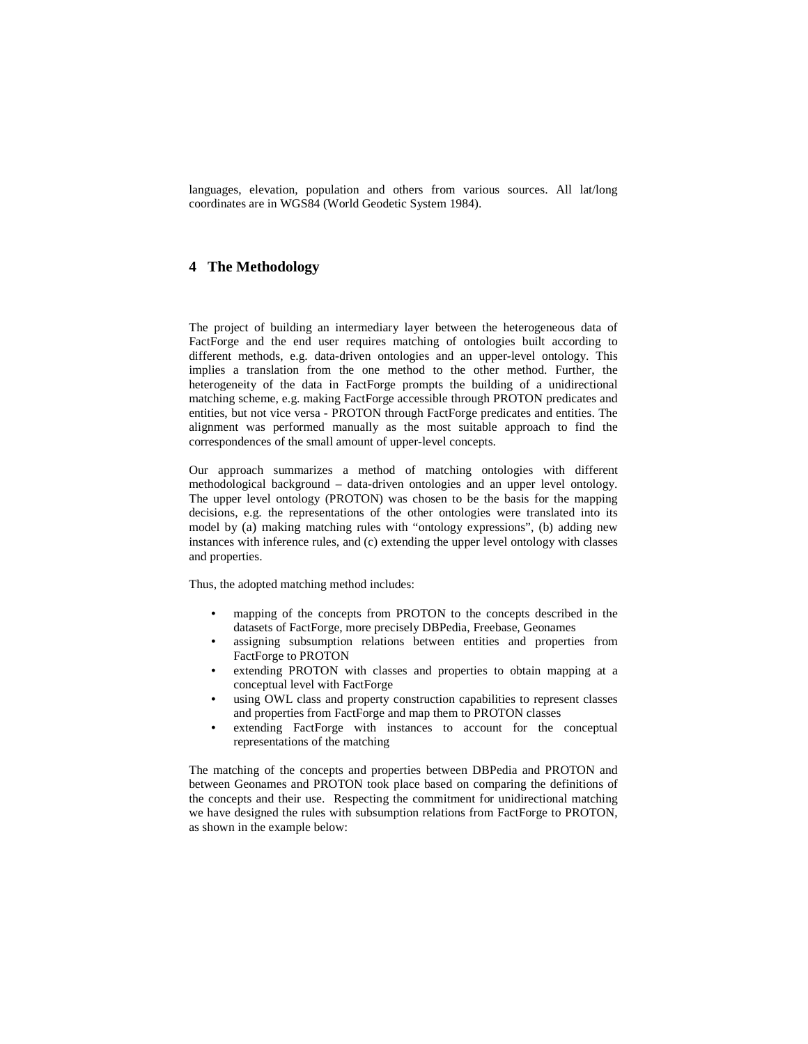languages, elevation, population and others from various sources. All lat/long coordinates are in WGS84 (World Geodetic System 1984).

# **4 The Methodology**

The project of building an intermediary layer between the heterogeneous data of FactForge and the end user requires matching of ontologies built according to different methods, e.g. data-driven ontologies and an upper-level ontology. This implies a translation from the one method to the other method. Further, the heterogeneity of the data in FactForge prompts the building of a unidirectional matching scheme, e.g. making FactForge accessible through PROTON predicates and entities, but not vice versa - PROTON through FactForge predicates and entities. The alignment was performed manually as the most suitable approach to find the correspondences of the small amount of upper-level concepts.

Our approach summarizes a method of matching ontologies with different methodological background – data-driven ontologies and an upper level ontology. The upper level ontology (PROTON) was chosen to be the basis for the mapping decisions, e.g. the representations of the other ontologies were translated into its model by (a) making matching rules with "ontology expressions", (b) adding new instances with inference rules, and (c) extending the upper level ontology with classes and properties.

Thus, the adopted matching method includes:

- mapping of the concepts from PROTON to the concepts described in the datasets of FactForge, more precisely DBPedia, Freebase, Geonames
- assigning subsumption relations between entities and properties from FactForge to PROTON
- extending PROTON with classes and properties to obtain mapping at a conceptual level with FactForge
- using OWL class and property construction capabilities to represent classes and properties from FactForge and map them to PROTON classes
- extending FactForge with instances to account for the conceptual representations of the matching

The matching of the concepts and properties between DBPedia and PROTON and between Geonames and PROTON took place based on comparing the definitions of the concepts and their use. Respecting the commitment for unidirectional matching we have designed the rules with subsumption relations from FactForge to PROTON, as shown in the example below: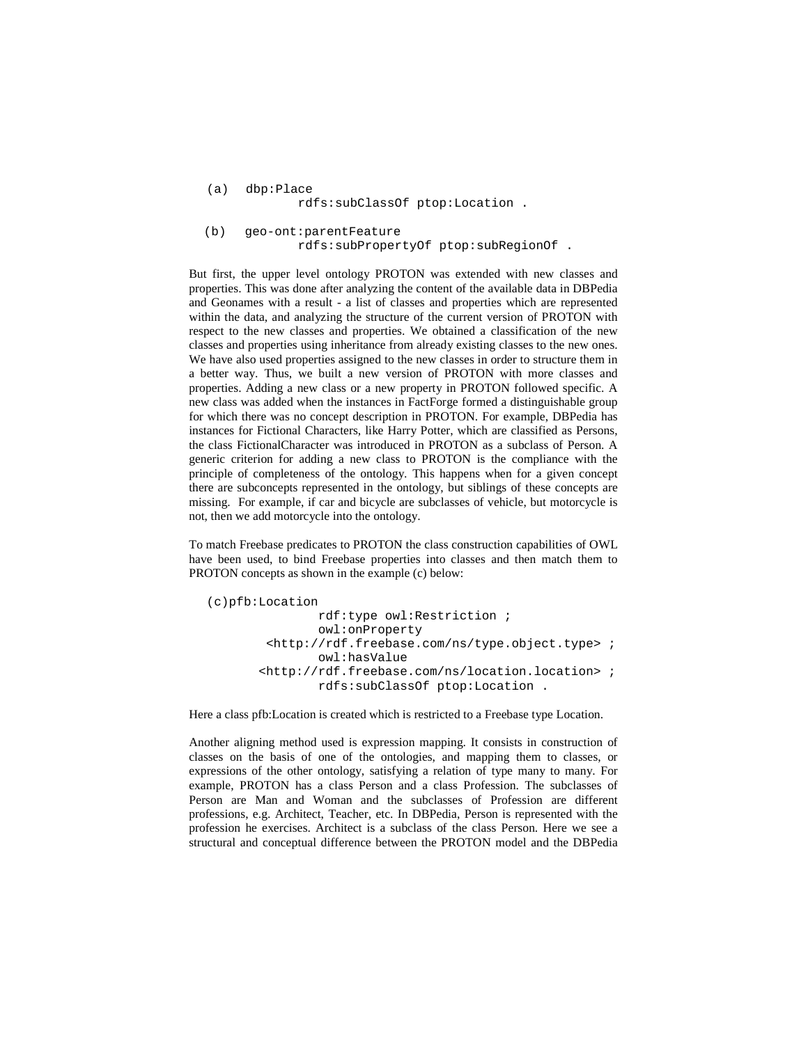```
(a) dbp:Place 
              rdfs:subClassOf ptop:Location .
```
 (b) geo-ont:parentFeature rdfs:subPropertyOf ptop:subRegionOf .

But first, the upper level ontology PROTON was extended with new classes and properties. This was done after analyzing the content of the available data in DBPedia and Geonames with a result - a list of classes and properties which are represented within the data, and analyzing the structure of the current version of PROTON with respect to the new classes and properties. We obtained a classification of the new classes and properties using inheritance from already existing classes to the new ones. We have also used properties assigned to the new classes in order to structure them in a better way. Thus, we built a new version of PROTON with more classes and properties. Adding a new class or a new property in PROTON followed specific. A new class was added when the instances in FactForge formed a distinguishable group for which there was no concept description in PROTON. For example, DBPedia has instances for Fictional Characters, like Harry Potter, which are classified as Persons, the class FictionalCharacter was introduced in PROTON as a subclass of Person. A generic criterion for adding a new class to PROTON is the compliance with the principle of completeness of the ontology. This happens when for a given concept there are subconcepts represented in the ontology, but siblings of these concepts are missing. For example, if car and bicycle are subclasses of vehicle, but motorcycle is not, then we add motorcycle into the ontology.

To match Freebase predicates to PROTON the class construction capabilities of OWL have been used, to bind Freebase properties into classes and then match them to PROTON concepts as shown in the example (c) below:

```
(c)pfb:Location 
                 rdf:type owl:Restriction ; 
                 owl:onProperty 
         <http://rdf.freebase.com/ns/type.object.type> ; 
                 owl:hasValue 
        <http://rdf.freebase.com/ns/location.location> ; 
                 rdfs:subClassOf ptop:Location .
```
Here a class pfb:Location is created which is restricted to a Freebase type Location.

Another aligning method used is expression mapping. It consists in construction of classes on the basis of one of the ontologies, and mapping them to classes, or expressions of the other ontology, satisfying a relation of type many to many. For example, PROTON has a class Person and a class Profession. The subclasses of Person are Man and Woman and the subclasses of Profession are different professions, e.g. Architect, Teacher, etc. In DBPedia, Person is represented with the profession he exercises. Architect is a subclass of the class Person. Here we see a structural and conceptual difference between the PROTON model and the DBPedia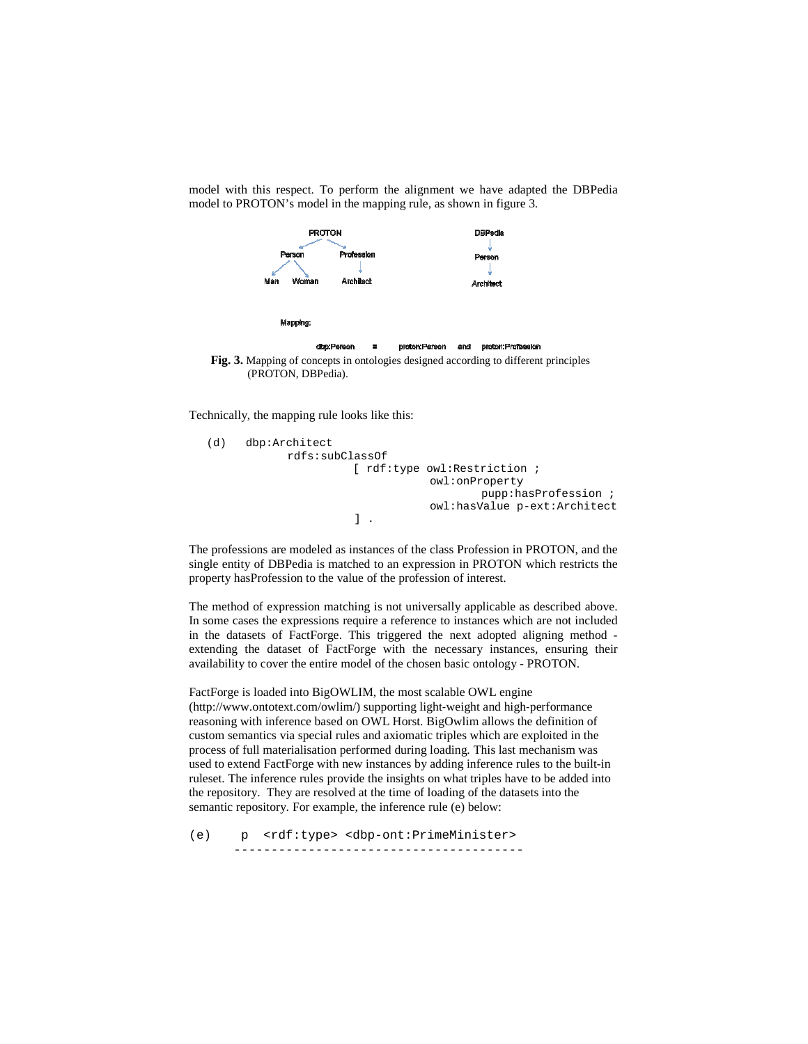model with this respect. To perform the alignment we have adapted the DBPedia model to PROTON's model in the mapping rule, as shown in figure 3.



Technically, the mapping rule looks like this:

```
(d) dbp:Architect 
             rdfs:subClassOf 
                         [ rdf:type owl:Restriction ; 
                                     owl:onProperty 
                                              pupp:hasProfession ; 
                                     owl:hasValue p-ext:Architect 
                         ] .
```
The professions are modeled as instances of the class Profession in PROTON, and the single entity of DBPedia is matched to an expression in PROTON which restricts the property hasProfession to the value of the profession of interest.

The method of expression matching is not universally applicable as described above. In some cases the expressions require a reference to instances which are not included in the datasets of FactForge. This triggered the next adopted aligning method extending the dataset of FactForge with the necessary instances, ensuring their availability to cover the entire model of the chosen basic ontology - PROTON.

FactForge is loaded into BigOWLIM, the most scalable OWL engine (http://www.ontotext.com/owlim/) supporting light‐weight and high‐performance reasoning with inference based on OWL Horst. BigOwlim allows the definition of custom semantics via special rules and axiomatic triples which are exploited in the process of full materialisation performed during loading. This last mechanism was used to extend FactForge with new instances by adding inference rules to the built-in ruleset. The inference rules provide the insights on what triples have to be added into the repository. They are resolved at the time of loading of the datasets into the semantic repository. For example, the inference rule (e) below:

(e) p <rdf:type> <dbp-ont:PrimeMinister> ---------------------------------------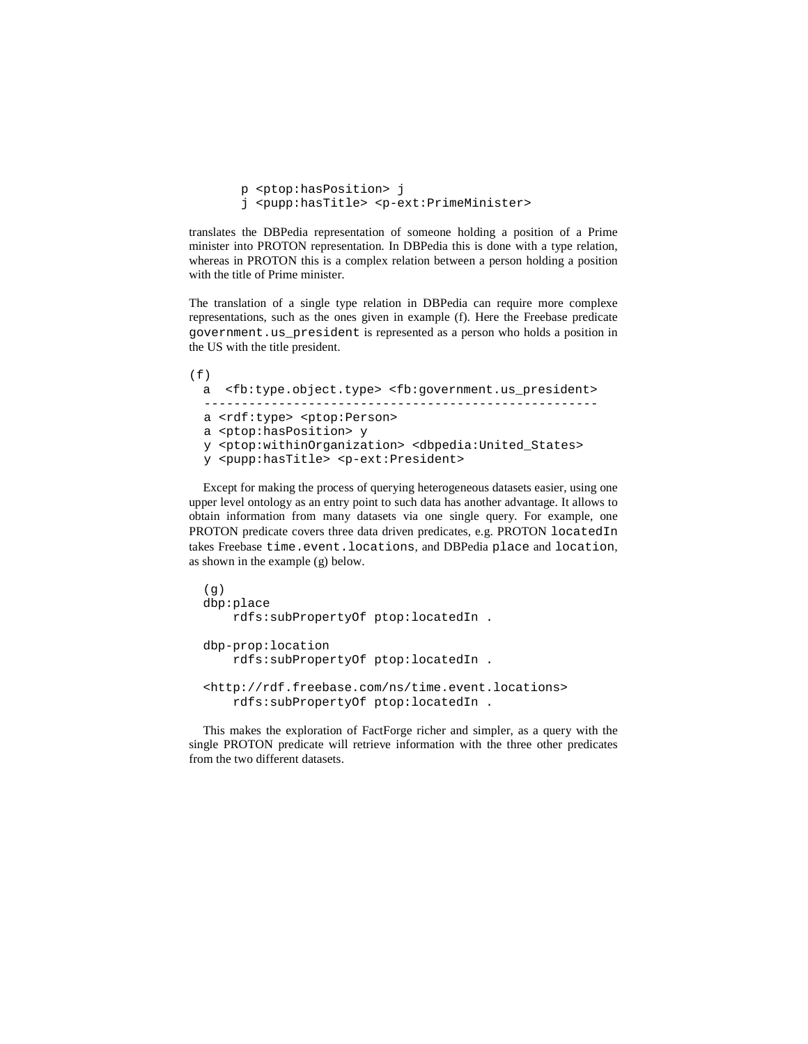```
 p <ptop:hasPosition> j 
 j <pupp:hasTitle> <p-ext:PrimeMinister>
```
translates the DBPedia representation of someone holding a position of a Prime minister into PROTON representation. In DBPedia this is done with a type relation, whereas in PROTON this is a complex relation between a person holding a position with the title of Prime minister.

The translation of a single type relation in DBPedia can require more complexe representations, such as the ones given in example (f). Here the Freebase predicate government.us\_president is represented as a person who holds a position in the US with the title president.

```
(f)a <fb:type.object.type> <fb:government.us_president> 
   ----------------------------------------------------- 
  a <rdf:type> <ptop:Person> 
  a <ptop:hasPosition> y 
  y <ptop:withinOrganization> <dbpedia:United_States> 
  y <pupp:hasTitle> <p-ext:President>
```
Except for making the process of querying heterogeneous datasets easier, using one upper level ontology as an entry point to such data has another advantage. It allows to obtain information from many datasets via one single query. For example, one PROTON predicate covers three data driven predicates, e.g. PROTON locatedIn takes Freebase time.event.locations, and DBPedia place and location, as shown in the example (g) below.

```
(q)dbp:place 
     rdfs:subPropertyOf ptop:locatedIn . 
dbp-prop:location 
     rdfs:subPropertyOf ptop:locatedIn . 
<http://rdf.freebase.com/ns/time.event.locations> 
     rdfs:subPropertyOf ptop:locatedIn .
```
This makes the exploration of FactForge richer and simpler, as a query with the single PROTON predicate will retrieve information with the three other predicates from the two different datasets.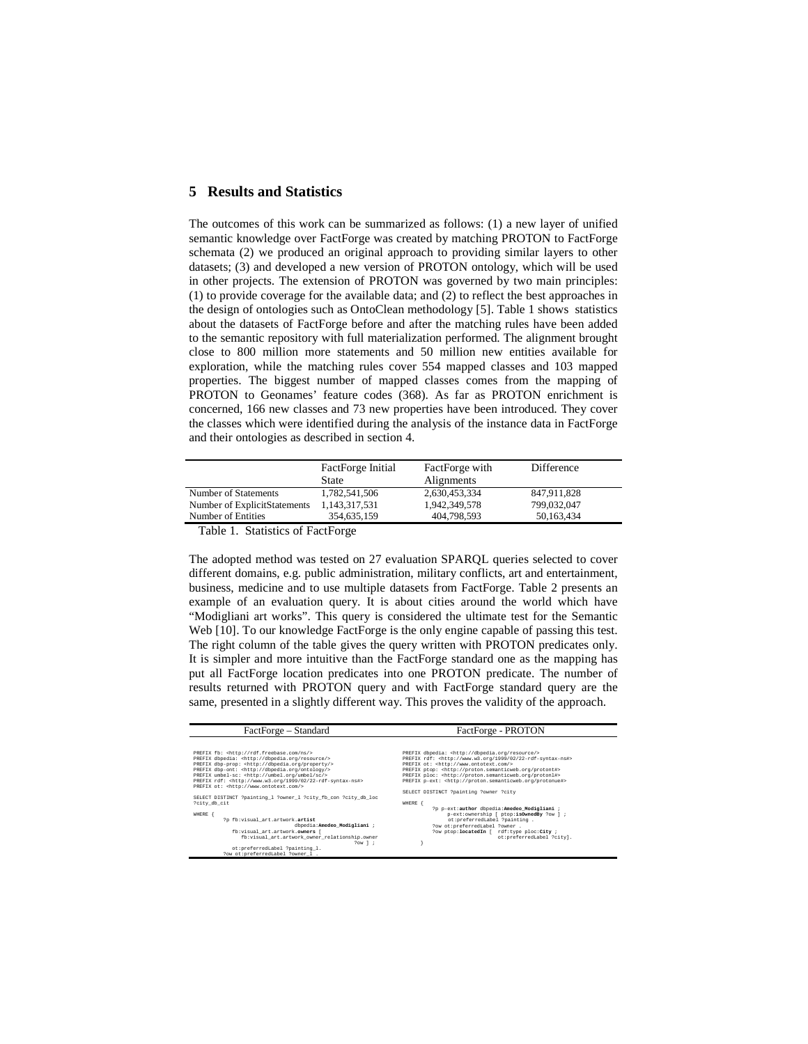## **5 Results and Statistics**

The outcomes of this work can be summarized as follows: (1) a new layer of unified semantic knowledge over FactForge was created by matching PROTON to FactForge schemata (2) we produced an original approach to providing similar layers to other datasets; (3) and developed a new version of PROTON ontology, which will be used in other projects. The extension of PROTON was governed by two main principles: (1) to provide coverage for the available data; and (2) to reflect the best approaches in the design of ontologies such as OntoClean methodology [5]. Table 1 shows statistics about the datasets of FactForge before and after the matching rules have been added to the semantic repository with full materialization performed. The alignment brought close to 800 million more statements and 50 million new entities available for exploration, while the matching rules cover 554 mapped classes and 103 mapped properties. The biggest number of mapped classes comes from the mapping of PROTON to Geonames' feature codes (368). As far as PROTON enrichment is concerned, 166 new classes and 73 new properties have been introduced. They cover the classes which were identified during the analysis of the instance data in FactForge and their ontologies as described in section 4.

|                              | FactForge Initial    | FactForge with | Difference  |  |
|------------------------------|----------------------|----------------|-------------|--|
|                              | State                | Alignments     |             |  |
| Number of Statements         | 1.782.541.506        | 2,630,453,334  | 847,911,828 |  |
| Number of ExplicitStatements | 1,143,317,531        | 1.942.349.578  | 799,032,047 |  |
| Number of Entities           | 354,635,159          | 404.798.593    | 50.163.434  |  |
| — 11 <i>a</i> a <b>b</b>     | $\sim$ $\sim$ $\sim$ |                |             |  |

Table 1. Statistics of FactForge

The adopted method was tested on 27 evaluation SPARQL queries selected to cover different domains, e.g. public administration, military conflicts, art and entertainment, business, medicine and to use multiple datasets from FactForge. Table 2 presents an example of an evaluation query. It is about cities around the world which have "Modigliani art works". This query is considered the ultimate test for the Semantic Web [10]. To our knowledge FactForge is the only engine capable of passing this test. The right column of the table gives the query written with PROTON predicates only. It is simpler and more intuitive than the FactForge standard one as the mapping has put all FactForge location predicates into one PROTON predicate. The number of results returned with PROTON query and with FactForge standard query are the same, presented in a slightly different way. This proves the validity of the approach.

| FactForge – Standard                                                         | FactForge - PROTON                                                           |  |
|------------------------------------------------------------------------------|------------------------------------------------------------------------------|--|
|                                                                              |                                                                              |  |
| PREFIX fb: < http://rdf.freebase.com/ns/>                                    | PREFIX dbpedia: < http://dbpedia.org/resource/>                              |  |
| PREFIX dbpedia: < http://dbpedia.org/resource/>                              | PREFIX rdf: <http: 02="" 1999="" 22-rdf-syntax-ns#="" www.w3.org=""></http:> |  |
| PREFIX dbp-prop: <http: dbpedia.org="" property=""></http:>                  | PREFIX ot: < http://www.ontotext.com/>                                       |  |
| PREFIX dbp-ont: < http://dbpedia.org/ontology/>                              | PREFIX ptop: < http://proton.semanticweb.org/protont#>                       |  |
| PREFIX umbel-sc: <http: sc="" umbel="" umbel.org=""></http:>                 | PREFIX ploc: < http://proton.semanticweb.org/protonl#>                       |  |
| PREFIX rdf: <http: 02="" 1999="" 22-rdf-syntax-ns#="" www.w3.org=""></http:> | PREFIX p-ext: < http://proton.semanticweb.org/protonue#>                     |  |
| PREFIX ot: < http://www.ontotext.com/>                                       |                                                                              |  |
|                                                                              | SELECT DISTINCT ?painting ?owner ?city                                       |  |
| SELECT DISTINCT ?painting_1 ?owner_1 ?city_fb_con ?city_db_loc               |                                                                              |  |
| ?city_db_cit                                                                 | WHERE                                                                        |  |
|                                                                              | ?p p-ext:author dbpedia:Amedeo_Modigliani ;                                  |  |
| WHERE<br>?p fb:visual_art.artwork.artist                                     | p-ext:ownership [ ptop:isOwnedBy ?ow ] ;                                     |  |
| dbpedia:Amedeo Modigliani ;                                                  | ot:preferredLabel ?painting .<br>?ow ot:preferredLabel ?owner .              |  |
| fb: visual art.artwork.owners [                                              | ?ow ptop:locatedIn [ rdf:type ploc:City ;                                    |  |
|                                                                              | ot:preferredLabel ?citv].                                                    |  |
| fb:visual_art.artwork_owner_relationship.owner<br>$2$ ow $1$ ;               |                                                                              |  |
| ot:preferredLabel ?painting_1.                                               |                                                                              |  |
| ?ow ot:preferredLabel ?owner 1 .                                             |                                                                              |  |
|                                                                              |                                                                              |  |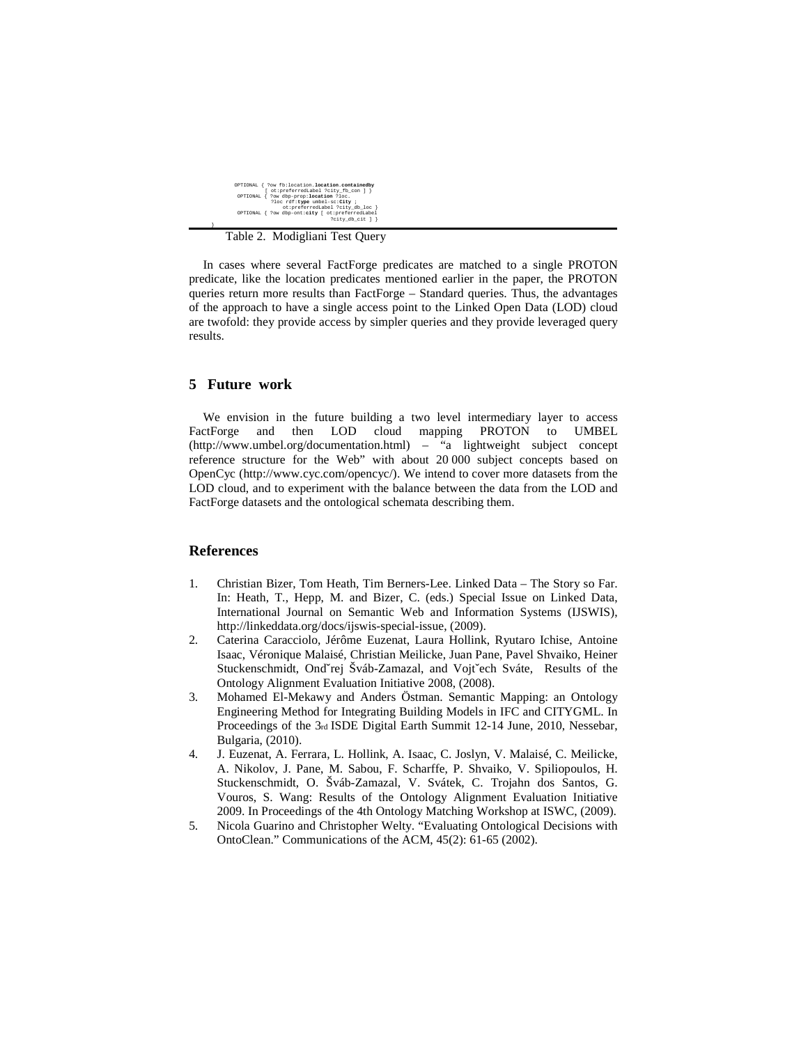| OPTIONAL { ?ow fb: location. location. containedby<br>ot:preferredLabel ?city_fb_con ] }                |
|---------------------------------------------------------------------------------------------------------|
| OPTIONAL { ?ow dbp-prop:location ?loc.<br>?loc rdf:tvpe umbel-sc:Citv ;                                 |
| ot:preferredLabel ?city db loc }<br>OPTIONAL { ?ow dbp-ont:city [ ot:preferredLabel<br>?city_db_cit ] } |

Table 2. Modigliani Test Query

In cases where several FactForge predicates are matched to a single PROTON predicate, like the location predicates mentioned earlier in the paper, the PROTON queries return more results than FactForge – Standard queries. Thus, the advantages of the approach to have a single access point to the Linked Open Data (LOD) cloud are twofold: they provide access by simpler queries and they provide leveraged query results.

## **5 Future work**

}

We envision in the future building a two level intermediary layer to access FactForge and then LOD cloud mapping PROTON to UMBEL (http://www.umbel.org/documentation.html) – "a lightweight subject concept reference structure for the Web" with about 20 000 subject concepts based on OpenCyc (http://www.cyc.com/opencyc/). We intend to cover more datasets from the LOD cloud, and to experiment with the balance between the data from the LOD and FactForge datasets and the ontological schemata describing them.

### **References**

- 1. Christian Bizer, Tom Heath, Tim Berners-Lee. Linked Data The Story so Far. In: Heath, T., Hepp, M. and Bizer, C. (eds.) Special Issue on Linked Data, International Journal on Semantic Web and Information Systems (IJSWIS), http://linkeddata.org/docs/ijswis-special-issue, (2009).
- 2. Caterina Caracciolo, Jérôme Euzenat, Laura Hollink, Ryutaro Ichise, Antoine Isaac, Véronique Malaisé, Christian Meilicke, Juan Pane, Pavel Shvaiko, Heiner Stuckenschmidt, Ondˇrej Šváb-Zamazal, and Vojtˇech Sváte, Results of the Ontology Alignment Evaluation Initiative 2008, (2008).
- 3. Mohamed El-Mekawy and Anders Östman. Semantic Mapping: an Ontology Engineering Method for Integrating Building Models in IFC and CITYGML. In Proceedings of the 3rd ISDE Digital Earth Summit 12-14 June, 2010, Nessebar, Bulgaria, (2010).
- 4. J. Euzenat, A. Ferrara, L. Hollink, A. Isaac, C. Joslyn, V. Malaisé, C. Meilicke, A. Nikolov, J. Pane, M. Sabou, F. Scharffe, P. Shvaiko, V. Spiliopoulos, H. Stuckenschmidt, O. Šváb-Zamazal, V. Svátek, C. Trojahn dos Santos, G. Vouros, S. Wang: Results of the Ontology Alignment Evaluation Initiative 2009. In Proceedings of the 4th Ontology Matching Workshop at ISWC, (2009).
- 5. Nicola Guarino and Christopher Welty. "Evaluating Ontological Decisions with OntoClean." Communications of the ACM, 45(2): 61-65 (2002).